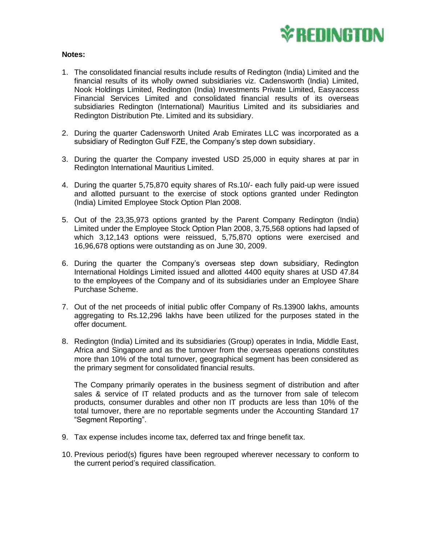

## **Notes:**

- 1. The consolidated financial results include results of Redington (India) Limited and the financial results of its wholly owned subsidiaries viz. Cadensworth (India) Limited, Nook Holdings Limited, Redington (India) Investments Private Limited, Easyaccess Financial Services Limited and consolidated financial results of its overseas subsidiaries Redington (International) Mauritius Limited and its subsidiaries and Redington Distribution Pte. Limited and its subsidiary.
- 2. During the quarter Cadensworth United Arab Emirates LLC was incorporated as a subsidiary of Redington Gulf FZE, the Company's step down subsidiary.
- 3. During the quarter the Company invested USD 25,000 in equity shares at par in Redington International Mauritius Limited.
- 4. During the quarter 5,75,870 equity shares of Rs.10/- each fully paid-up were issued and allotted pursuant to the exercise of stock options granted under Redington (India) Limited Employee Stock Option Plan 2008.
- 5. Out of the 23,35,973 options granted by the Parent Company Redington (India) Limited under the Employee Stock Option Plan 2008, 3,75,568 options had lapsed of which 3,12,143 options were reissued, 5,75,870 options were exercised and 16,96,678 options were outstanding as on June 30, 2009.
- 6. During the quarter the Company's overseas step down subsidiary, Redington International Holdings Limited issued and allotted 4400 equity shares at USD 47.84 to the employees of the Company and of its subsidiaries under an Employee Share Purchase Scheme.
- 7. Out of the net proceeds of initial public offer Company of Rs.13900 lakhs, amounts aggregating to Rs.12,296 lakhs have been utilized for the purposes stated in the offer document.
- 8. Redington (India) Limited and its subsidiaries (Group) operates in India, Middle East, Africa and Singapore and as the turnover from the overseas operations constitutes more than 10% of the total turnover, geographical segment has been considered as the primary segment for consolidated financial results.

The Company primarily operates in the business segment of distribution and after sales & service of IT related products and as the turnover from sale of telecom products, consumer durables and other non IT products are less than 10% of the total turnover, there are no reportable segments under the Accounting Standard 17 "Segment Reporting".

- 9. Tax expense includes income tax, deferred tax and fringe benefit tax.
- 10. Previous period(s) figures have been regrouped wherever necessary to conform to the current period's required classification.